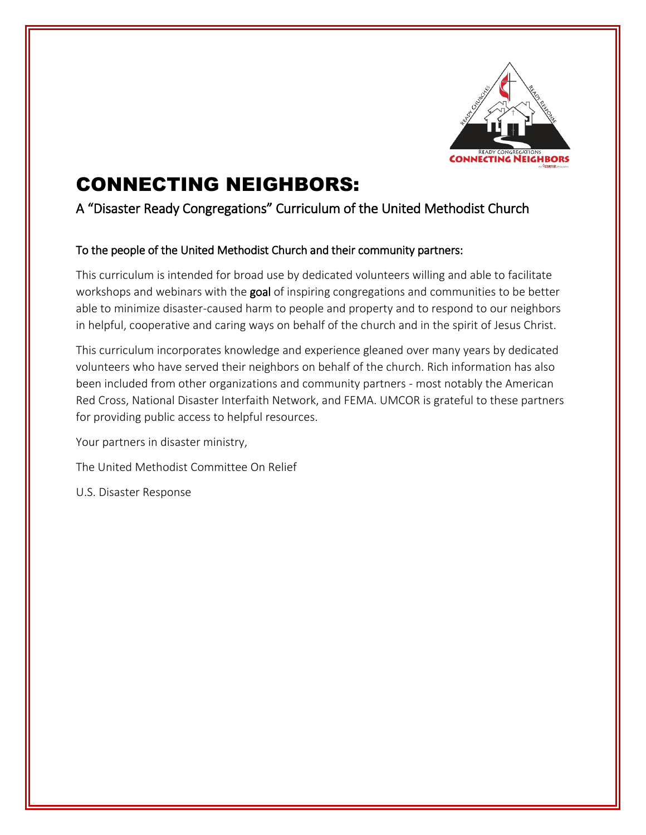

# CONNECTING NEIGHBORS:

## A "Disaster Ready Congregations" Curriculum of the United Methodist Church

#### To the people of the United Methodist Church and their community partners:

This curriculum is intended for broad use by dedicated volunteers willing and able to facilitate workshops and webinars with the goal of inspiring congregations and communities to be better able to minimize disaster-caused harm to people and property and to respond to our neighbors in helpful, cooperative and caring ways on behalf of the church and in the spirit of Jesus Christ.

This curriculum incorporates knowledge and experience gleaned over many years by dedicated volunteers who have served their neighbors on behalf of the church. Rich information has also been included from other organizations and community partners - most notably the American Red Cross, National Disaster Interfaith Network, and FEMA. UMCOR is grateful to these partners for providing public access to helpful resources.

Your partners in disaster ministry,

The United Methodist Committee On Relief

U.S. Disaster Response